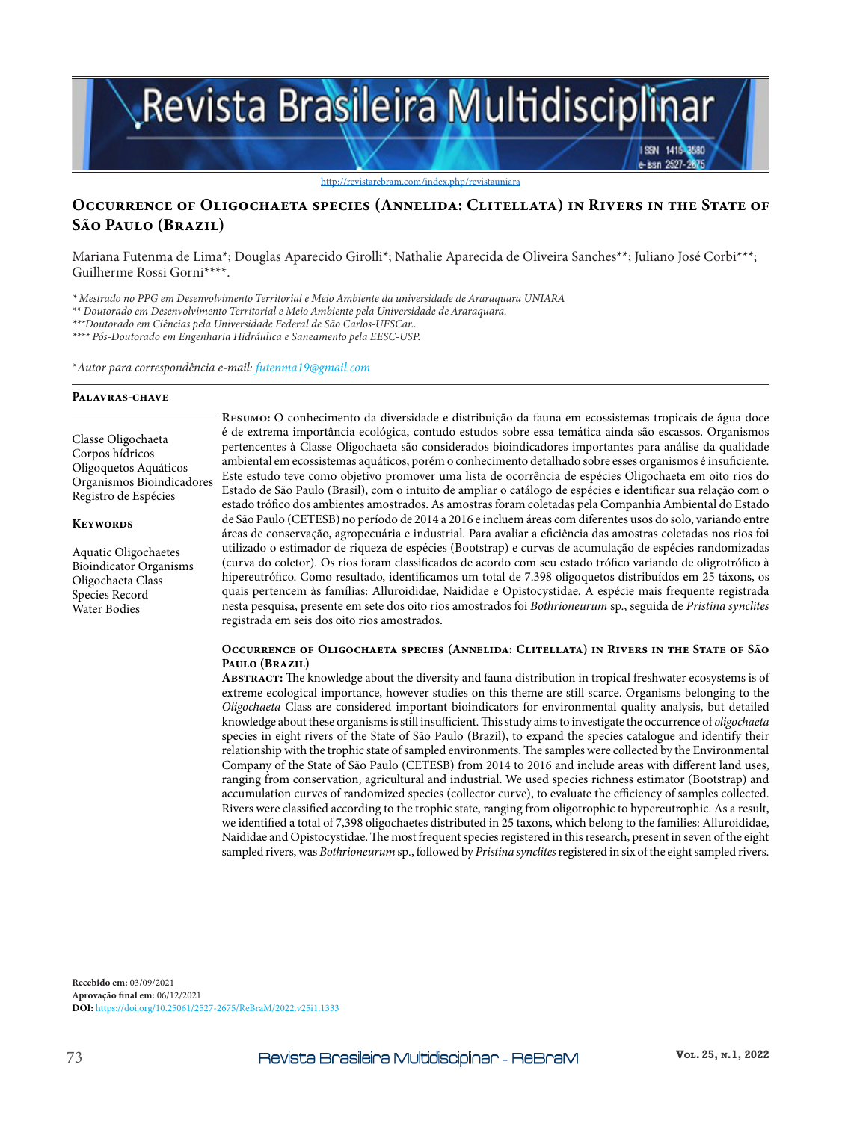# Revista Brasileira Multidisciplinar

http://revistarebram.com/index.php/revistauniara

## **Occurrence of Oligochaeta species (Annelida: Clitellata) in Rivers in the State of São Paulo (Brazil)**

Mariana Futenma de Lima\*; Douglas Aparecido Girolli\*; Nathalie Aparecida de Oliveira Sanches\*\*; Juliano José Corbi\*\*\*; Guilherme Rossi Gorni\*\*\*\*.

*\* Mestrado no PPG em Desenvolvimento Territorial e Meio Ambiente da universidade de Araraquara UNIARA*

*\*\* Doutorado em Desenvolvimento Territorial e Meio Ambiente pela Universidade de Araraquara.*

*\*\*\*Doutorado em Ciências pela Universidade Federal de São Carlos-UFSCar..*

*\*\*\*\* Pós-Doutorado em Engenharia Hidráulica e Saneamento pela EESC-USP.*

*\*Autor para correspondência e-mail: futenma19@gmail.com*

#### **Palavras-chave**

Classe Oligochaeta Corpos hídricos Oligoquetos Aquáticos Organismos Bioindicadores Registro de Espécies

#### **Keywords**

Aquatic Oligochaetes Bioindicator Organisms Oligochaeta Class Species Record Water Bodies

**Resumo:** O conhecimento da diversidade e distribuição da fauna em ecossistemas tropicais de água doce é de extrema importância ecológica, contudo estudos sobre essa temática ainda são escassos. Organismos pertencentes à Classe Oligochaeta são considerados bioindicadores importantes para análise da qualidade ambiental em ecossistemas aquáticos, porém o conhecimento detalhado sobre esses organismos é insuficiente. Este estudo teve como objetivo promover uma lista de ocorrência de espécies Oligochaeta em oito rios do Estado de São Paulo (Brasil), com o intuito de ampliar o catálogo de espécies e identificar sua relação com o estado trófico dos ambientes amostrados. As amostras foram coletadas pela Companhia Ambiental do Estado de São Paulo (CETESB) no período de 2014 a 2016 e incluem áreas com diferentes usos do solo, variando entre áreas de conservação, agropecuária e industrial. Para avaliar a eficiência das amostras coletadas nos rios foi utilizado o estimador de riqueza de espécies (Bootstrap) e curvas de acumulação de espécies randomizadas (curva do coletor). Os rios foram classificados de acordo com seu estado trófico variando de oligrotrófico à hipereutrófico. Como resultado, identificamos um total de 7.398 oligoquetos distribuídos em 25 táxons, os quais pertencem às famílias: Alluroididae, Naididae e Opistocystidae. A espécie mais frequente registrada nesta pesquisa, presente em sete dos oito rios amostrados foi *Bothrioneurum* sp., seguida de *Pristina synclites* registrada em seis dos oito rios amostrados.

#### **Occurrence of Oligochaeta species (Annelida: Clitellata) in Rivers in the State of São Paulo (Brazil)**

**Abstract:** The knowledge about the diversity and fauna distribution in tropical freshwater ecosystems is of extreme ecological importance, however studies on this theme are still scarce. Organisms belonging to the *Oligochaeta* Class are considered important bioindicators for environmental quality analysis, but detailed knowledge about these organisms is still insufficient. This study aims to investigate the occurrence of *oligochaeta* species in eight rivers of the State of São Paulo (Brazil), to expand the species catalogue and identify their relationship with the trophic state of sampled environments. The samples were collected by the Environmental Company of the State of São Paulo (CETESB) from 2014 to 2016 and include areas with different land uses, ranging from conservation, agricultural and industrial. We used species richness estimator (Bootstrap) and accumulation curves of randomized species (collector curve), to evaluate the efficiency of samples collected. Rivers were classified according to the trophic state, ranging from oligotrophic to hypereutrophic. As a result, we identified a total of 7,398 oligochaetes distributed in 25 taxons, which belong to the families: Alluroididae, Naididae and Opistocystidae. The most frequent species registered in this research, present in seven of the eight sampled rivers, was *Bothrioneurum* sp*.*, followed by *Pristina synclites* registered in six of the eight sampled rivers.

**Recebido em:** 03/09/2021 **Aprovação final em:** 06/12/2021 **DOI:** https://doi.org/10.25061/2527-2675/ReBraM/2022.v25i1.1333 ISSN 1415-8580 isan 2527-1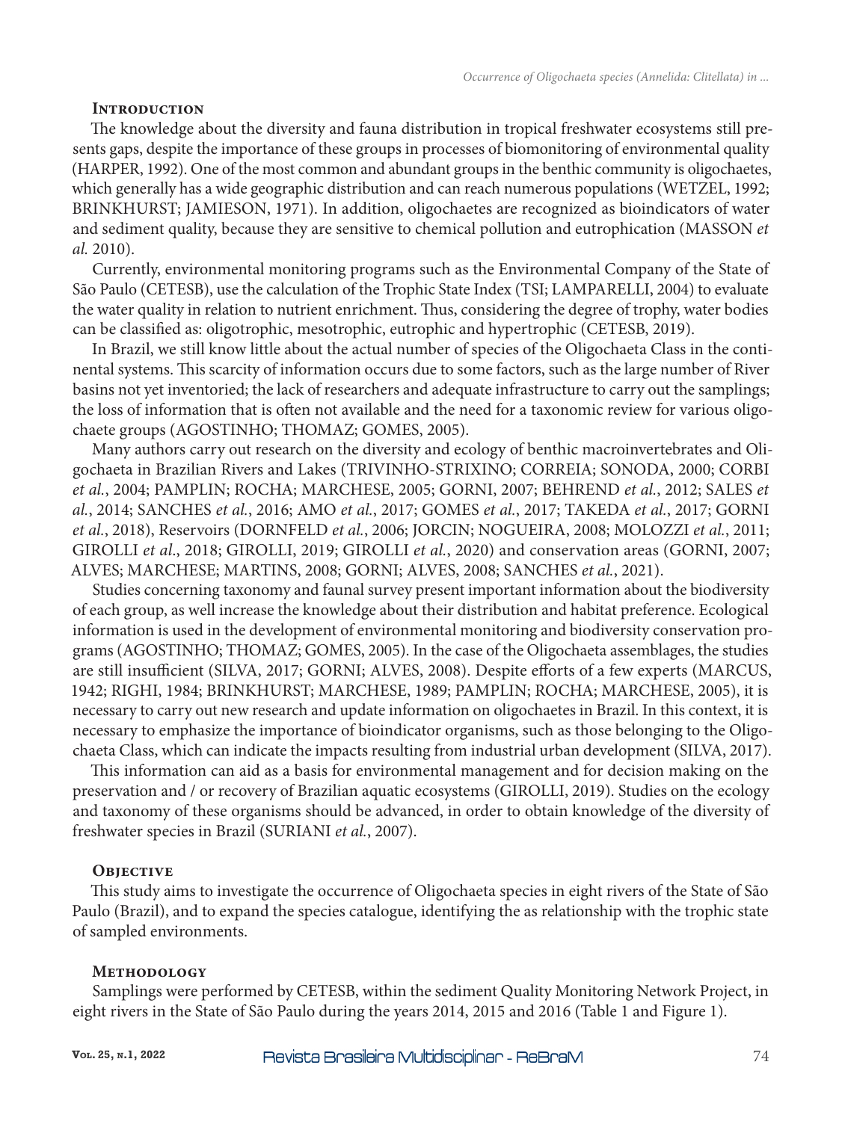### **Introduction**

The knowledge about the diversity and fauna distribution in tropical freshwater ecosystems still presents gaps, despite the importance of these groups in processes of biomonitoring of environmental quality (HARPER, 1992). One of the most common and abundant groups in the benthic community is oligochaetes, which generally has a wide geographic distribution and can reach numerous populations (WETZEL, 1992; BRINKHURST; JAMIESON, 1971). In addition, oligochaetes are recognized as bioindicators of water and sediment quality, because they are sensitive to chemical pollution and eutrophication (MASSON *et al.* 2010).

Currently, environmental monitoring programs such as the Environmental Company of the State of São Paulo (CETESB), use the calculation of the Trophic State Index (TSI; LAMPARELLI, 2004) to evaluate the water quality in relation to nutrient enrichment. Thus, considering the degree of trophy, water bodies can be classified as: oligotrophic, mesotrophic, eutrophic and hypertrophic (CETESB, 2019).

In Brazil, we still know little about the actual number of species of the Oligochaeta Class in the continental systems. This scarcity of information occurs due to some factors, such as the large number of River basins not yet inventoried; the lack of researchers and adequate infrastructure to carry out the samplings; the loss of information that is often not available and the need for a taxonomic review for various oligochaete groups (AGOSTINHO; THOMAZ; GOMES, 2005).

Many authors carry out research on the diversity and ecology of benthic macroinvertebrates and Oligochaeta in Brazilian Rivers and Lakes (TRIVINHO-STRIXINO; CORREIA; SONODA, 2000; CORBI *et al.*, 2004; PAMPLIN; ROCHA; MARCHESE, 2005; GORNI, 2007; BEHREND *et al.*, 2012; SALES *et al.*, 2014; SANCHES *et al.*, 2016; AMO *et al.*, 2017; GOMES *et al.*, 2017; TAKEDA *et al.*, 2017; GORNI *et al.*, 2018), Reservoirs (DORNFELD *et al.*, 2006; JORCIN; NOGUEIRA, 2008; MOLOZZI *et al.*, 2011; GIROLLI *et al*., 2018; GIROLLI, 2019; GIROLLI *et al.*, 2020) and conservation areas (GORNI, 2007; ALVES; MARCHESE; MARTINS, 2008; GORNI; ALVES, 2008; SANCHES *et al.*, 2021).

Studies concerning taxonomy and faunal survey present important information about the biodiversity of each group, as well increase the knowledge about their distribution and habitat preference. Ecological information is used in the development of environmental monitoring and biodiversity conservation programs (AGOSTINHO; THOMAZ; GOMES, 2005). In the case of the Oligochaeta assemblages, the studies are still insufficient (SILVA, 2017; GORNI; ALVES, 2008). Despite efforts of a few experts (MARCUS, 1942; RIGHI, 1984; BRINKHURST; MARCHESE, 1989; PAMPLIN; ROCHA; MARCHESE, 2005), it is necessary to carry out new research and update information on oligochaetes in Brazil. In this context, it is necessary to emphasize the importance of bioindicator organisms, such as those belonging to the Oligochaeta Class, which can indicate the impacts resulting from industrial urban development (SILVA, 2017).

This information can aid as a basis for environmental management and for decision making on the preservation and / or recovery of Brazilian aquatic ecosystems (GIROLLI, 2019). Studies on the ecology and taxonomy of these organisms should be advanced, in order to obtain knowledge of the diversity of freshwater species in Brazil (SURIANI *et al.*, 2007).

## **Objective**

This study aims to investigate the occurrence of Oligochaeta species in eight rivers of the State of São Paulo (Brazil), and to expand the species catalogue, identifying the as relationship with the trophic state of sampled environments.

#### **Methodology**

Samplings were performed by CETESB, within the sediment Quality Monitoring Network Project, in eight rivers in the State of São Paulo during the years 2014, 2015 and 2016 (Table 1 and Figure 1).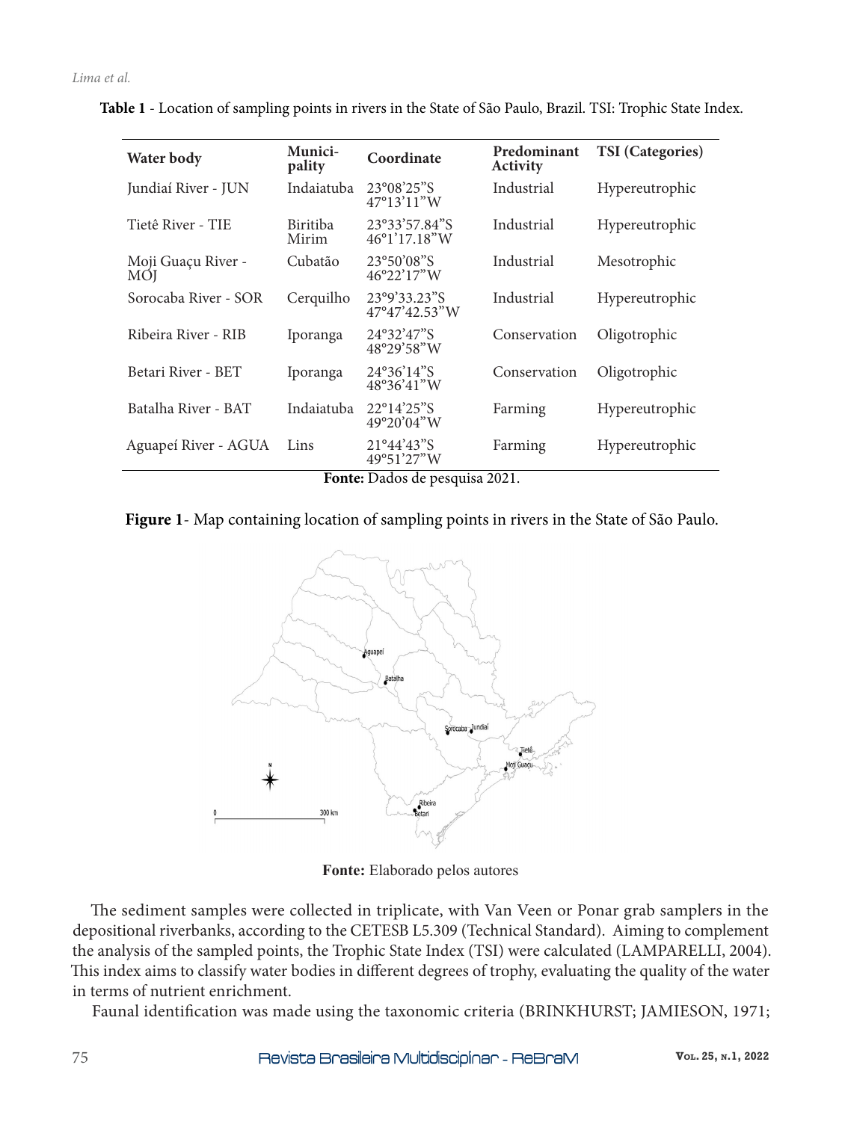| Water body                       | Munici-<br>pality        | Coordinate                                             | Predominant<br>Activity | <b>TSI</b> (Categories) |  |
|----------------------------------|--------------------------|--------------------------------------------------------|-------------------------|-------------------------|--|
| Jundiaí River - JUN              | Indaiatuba               | 23°08'25"S<br>$47^{\circ}13'11''W$                     | Industrial              | Hypereutrophic          |  |
| Tietê River - TIE                | <b>Biritiba</b><br>Mirim | 23°33'57.84"S<br>46°1'17.18"W                          | Industrial              | Hypereutrophic          |  |
| Moji Guaçu River -<br><b>MOI</b> | Cubatão                  | 23°50'08"S<br>$46^{\circ}22'17''W$                     | Industrial              | Mesotrophic             |  |
| Sorocaba River - SOR             | Cerquilho                | 23°9'33.23"S<br>$47^{\circ}47'42.53''W$                | Industrial              | Hypereutrophic          |  |
| Ribeira River - RIB              | Iporanga                 | 24°32'47"S<br>48°29'58"W                               | Conservation            | Oligotrophic            |  |
| Betari River - BET               | Iporanga                 | $24^{\circ}36'14''\text{S}$<br>$48^{\circ}36'41''W$    | Conservation            | Oligotrophic            |  |
| Batalha River - BAT              | Indaiatuba               | $22^{\circ}14'25''\text{S}$<br>$49^{\circ}20'04''W$    | Farming                 | Hypereutrophic          |  |
| Aguapeí River - AGUA             | Lins<br>T.               | $21^{\circ}44'43''S$<br>49°51'27"W<br>$\mathbf{r}$ 1 1 | Farming<br>0.021        | Hypereutrophic          |  |

**Table 1** - Location of sampling points in rivers in the State of São Paulo, Brazil. TSI: Trophic State Index.

**Fonte:** Dados de pesquisa 2021.

## **Figure 1**- Map containing location of sampling points in rivers in the State of São Paulo.



**Fonte:** Elaborado pelos autores

The sediment samples were collected in triplicate, with Van Veen or Ponar grab samplers in the depositional riverbanks, according to the CETESB L5.309 (Technical Standard). Aiming to complement the analysis of the sampled points, the Trophic State Index (TSI) were calculated (LAMPARELLI, 2004). This index aims to classify water bodies in different degrees of trophy, evaluating the quality of the water in terms of nutrient enrichment.

Faunal identification was made using the taxonomic criteria (BRINKHURST; JAMIESON, 1971;

75 **Vol. 25, n.1, 2022**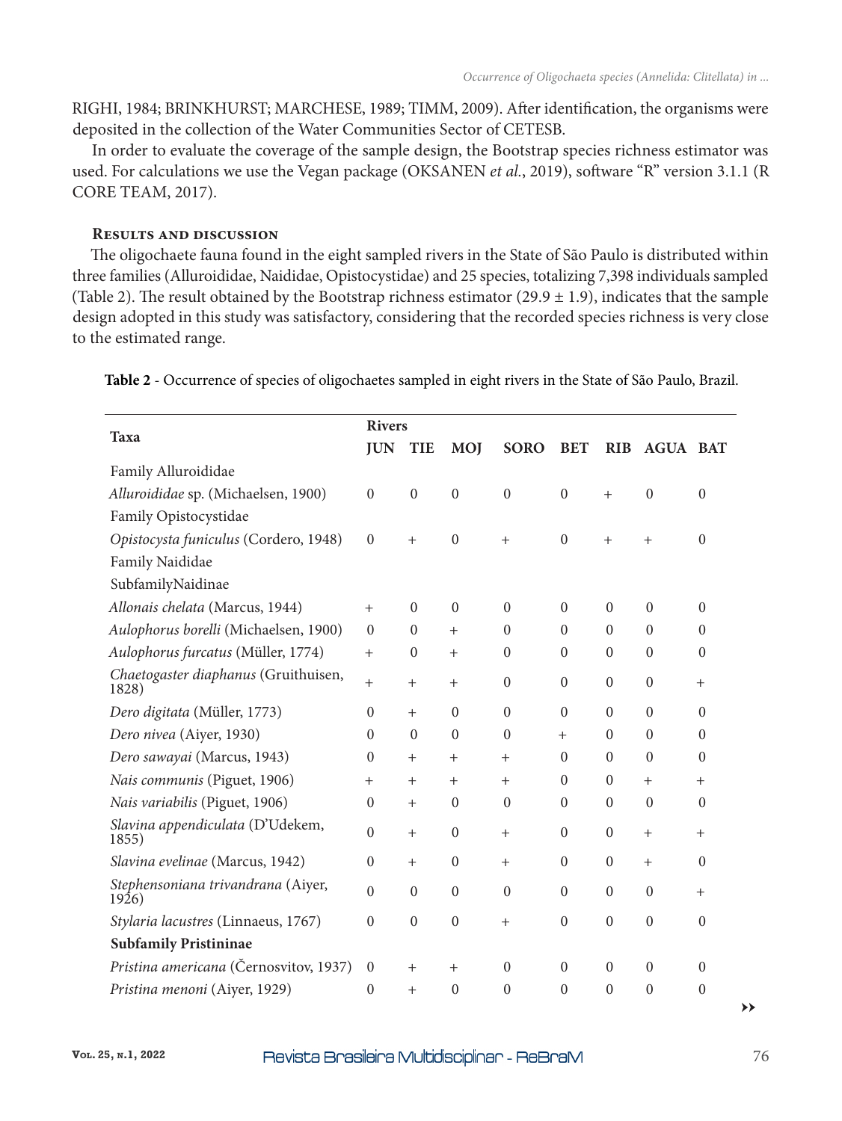RIGHI, 1984; BRINKHURST; MARCHESE, 1989; TIMM, 2009). After identification, the organisms were deposited in the collection of the Water Communities Sector of CETESB.

In order to evaluate the coverage of the sample design, the Bootstrap species richness estimator was used. For calculations we use the Vegan package (OKSANEN *et al.*, 2019), software "R" version 3.1.1 (R CORE TEAM, 2017).

## **Results and discussion**

The oligochaete fauna found in the eight sampled rivers in the State of São Paulo is distributed within three families (Alluroididae, Naididae, Opistocystidae) and 25 species, totalizing 7,398 individuals sampled (Table 2). The result obtained by the Bootstrap richness estimator (29.9  $\pm$  1.9), indicates that the sample design adopted in this study was satisfactory, considering that the recorded species richness is very close to the estimated range.

|                                               | <b>Rivers</b> |                  |                  |                  |                |                  |                  |                  |
|-----------------------------------------------|---------------|------------------|------------------|------------------|----------------|------------------|------------------|------------------|
| <b>Taxa</b>                                   |               | <b>TIE</b>       | <b>MOJ</b>       | <b>SORO</b>      | <b>BET</b>     | <b>RIB</b>       | <b>AGUA BAT</b>  |                  |
| Family Alluroididae                           |               |                  |                  |                  |                |                  |                  |                  |
| Alluroididae sp. (Michaelsen, 1900)           |               | $\boldsymbol{0}$ | $\mathbf{0}$     | $\theta$         | $\theta$       | $^{+}$           | $\theta$         | $\Omega$         |
| Family Opistocystidae                         |               |                  |                  |                  |                |                  |                  |                  |
| Opistocysta funiculus (Cordero, 1948)         |               | $^{+}$           | $\boldsymbol{0}$ | $^{+}$           | $\mathbf{0}$   | $^{+}$           | $^{+}$           | $\overline{0}$   |
| Family Naididae                               |               |                  |                  |                  |                |                  |                  |                  |
| SubfamilyNaidinae                             |               |                  |                  |                  |                |                  |                  |                  |
| Allonais chelata (Marcus, 1944)               |               | $\Omega$         | $\Omega$         | $\theta$         | $\theta$       | $\boldsymbol{0}$ | $\overline{0}$   | $\boldsymbol{0}$ |
| Aulophorus borelli (Michaelsen, 1900)         |               | $\boldsymbol{0}$ | $^{+}$           | $\boldsymbol{0}$ | $\mathbf{0}$   | $\boldsymbol{0}$ | $\boldsymbol{0}$ | $\overline{0}$   |
| Aulophorus furcatus (Müller, 1774)            |               | $\theta$         | $^{+}$           | $\theta$         | $\theta$       | $\theta$         | $\boldsymbol{0}$ | $\Omega$         |
| Chaetogaster diaphanus (Gruithuisen,<br>1828) |               | $^{+}$           | $+$              | $\theta$         | $\theta$       | $\boldsymbol{0}$ | $\boldsymbol{0}$ | $^{+}$           |
| Dero digitata (Müller, 1773)                  | $\theta$      | $^{+}$           | $\Omega$         | $\theta$         | $\theta$       | $\theta$         | $\theta$         | $\Omega$         |
| Dero nivea (Aiyer, 1930)                      |               | $\Omega$         | $\Omega$         | $\Omega$         | $^{+}$         | $\theta$         | $\theta$         | $\Omega$         |
| Dero sawayai (Marcus, 1943)                   |               | $^{+}$           | $+$              | $+$              | $\theta$       | $\theta$         | $\theta$         | $\theta$         |
| Nais communis (Piguet, 1906)                  |               | $^{+}$           | $^{+}$           | $^{+}$           | $\theta$       | $\boldsymbol{0}$ | $^{+}$           | $^{+}$           |
| Nais variabilis (Piguet, 1906)                |               | $\ddot{}$        | $\mathbf{0}$     | $\mathbf{0}$     | $\mathbf{0}$   | $\boldsymbol{0}$ | $\boldsymbol{0}$ | $\boldsymbol{0}$ |
| Slavina appendiculata (D'Udekem,<br>1855)     |               | $^{+}$           | $\Omega$         | $+$              | $\mathbf{0}$   | $\boldsymbol{0}$ | $^{+}$           | $^{+}$           |
| Slavina evelinae (Marcus, 1942)               |               | $\mathrm{+}$     | $\Omega$         | $^{+}$           | $\theta$       | $\boldsymbol{0}$ | $^{+}$           | $\theta$         |
| Stephensoniana trivandrana (Aiyer,<br>1926)   |               | $\boldsymbol{0}$ | $\mathbf{0}$     | $\theta$         | $\theta$       | $\boldsymbol{0}$ | $\theta$         | $^{+}$           |
| Stylaria lacustres (Linnaeus, 1767)           |               | $\boldsymbol{0}$ | $\mathbf{0}$     | $^{+}$           | $\mathbf{0}$   | $\mathbf{0}$     | $\mathbf{0}$     | $\boldsymbol{0}$ |
| <b>Subfamily Pristininae</b>                  |               |                  |                  |                  |                |                  |                  |                  |
| Pristina americana (Černosvitov, 1937)        |               | $^{+}$           | $^{+}$           | $\theta$         | $\Omega$       | $\Omega$         | $\theta$         | $\Omega$         |
| Pristina menoni (Aiyer, 1929)                 |               | $+$              | $\theta$         | $\theta$         | $\overline{0}$ | $\boldsymbol{0}$ | $\theta$         | $\theta$         |

**Table 2** - Occurrence of species of oligochaetes sampled in eight rivers in the State of São Paulo, Brazil.

**→→**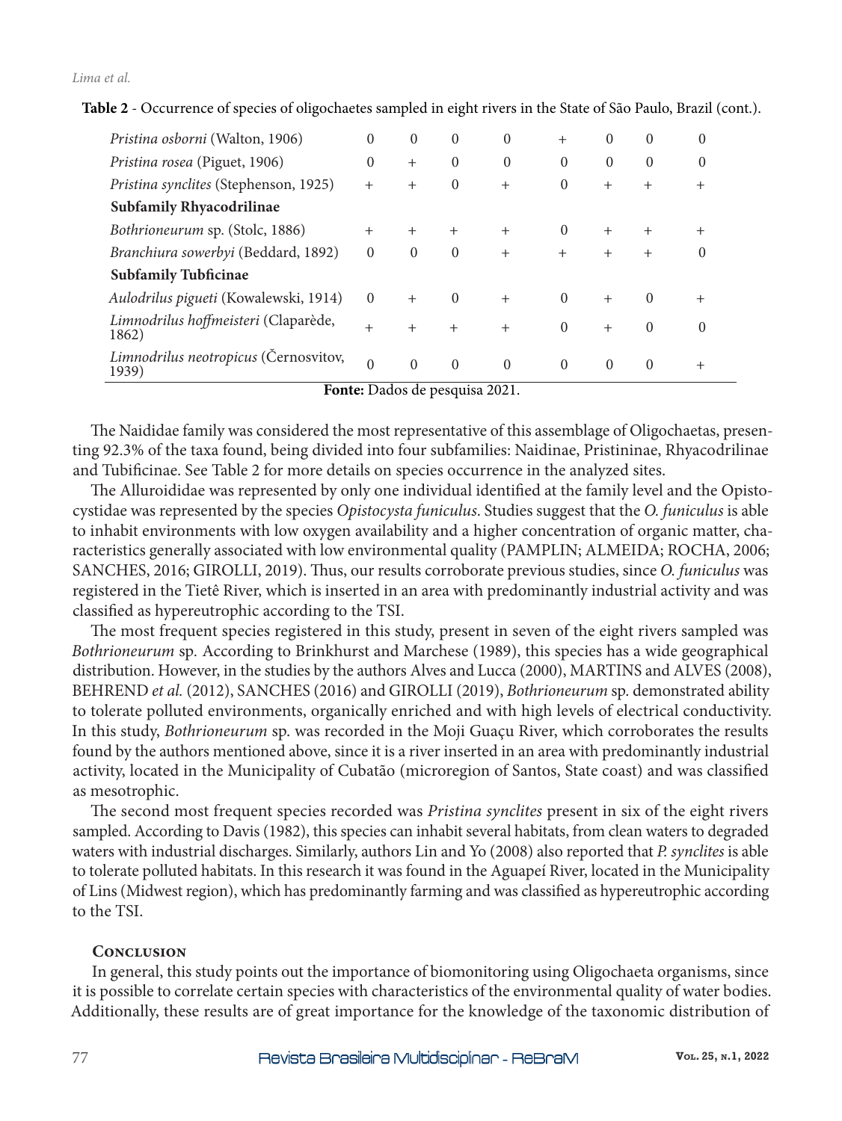```
Lima et al.
```

| Pristina osborni (Walton, 1906)                | $\Omega$ | $\Omega$ | $\theta$ | $\Omega$       | $^{+}$   | $\Omega$ | $\theta$ | $\Omega$ |
|------------------------------------------------|----------|----------|----------|----------------|----------|----------|----------|----------|
| Pristina rosea (Piguet, 1906)                  |          | $^{+}$   | $\theta$ | $\overline{0}$ | $\Omega$ | $\Omega$ | $\theta$ | $\Omega$ |
| Pristina synclites (Stephenson, 1925)          |          | $+$      | $\Omega$ | $^{+}$         | $\Omega$ | $^{+}$   | $^{+}$   | $\pm$    |
| <b>Subfamily Rhyacodrilinae</b>                |          |          |          |                |          |          |          |          |
| Bothrioneurum sp. (Stolc, 1886)                | $^{+}$   | $^{+}$   | $^{+}$   | $^{+}$         | $\Omega$ | $^{+}$   | $^{+}$   |          |
| Branchiura sowerbyi (Beddard, 1892)            | $\Omega$ | $\Omega$ | $\Omega$ | $^{+}$         | $^{+}$   | $^{+}$   | $^{+}$   | 0        |
| <b>Subfamily Tubficinae</b>                    |          |          |          |                |          |          |          |          |
| Aulodrilus pigueti (Kowalewski, 1914)          | $\Omega$ | $+$      | $\Omega$ | $^{+}$         | $\Omega$ | $^{+}$   | $\Omega$ | $^{+}$   |
| Limnodrilus hoffmeisteri (Claparède,<br>1862)  | $^{+}$   | $^{+}$   | $+$      | $^{+}$         | $\Omega$ | $^{+}$   | $\Omega$ | $\Omega$ |
| Limnodrilus neotropicus (Černosvitov,<br>1939) | $\Omega$ | $\Omega$ | $\Omega$ | $\Omega$       | $\Omega$ | $\Omega$ | $\Omega$ | $^{+}$   |

**Table 2** - Occurrence of species of oligochaetes sampled in eight rivers in the State of São Paulo, Brazil (cont.).

**Fonte:** Dados de pesquisa 2021.

The Naididae family was considered the most representative of this assemblage of Oligochaetas, presenting 92.3% of the taxa found, being divided into four subfamilies: Naidinae, Pristininae, Rhyacodrilinae and Tubificinae. See Table 2 for more details on species occurrence in the analyzed sites.

The Alluroididae was represented by only one individual identified at the family level and the Opistocystidae was represented by the species *Opistocysta funiculus*. Studies suggest that the *O. funiculus* is able to inhabit environments with low oxygen availability and a higher concentration of organic matter, characteristics generally associated with low environmental quality (PAMPLIN; ALMEIDA; ROCHA, 2006; SANCHES, 2016; GIROLLI, 2019). Thus, our results corroborate previous studies, since *O. funiculus* was registered in the Tietê River, which is inserted in an area with predominantly industrial activity and was classified as hypereutrophic according to the TSI.

The most frequent species registered in this study, present in seven of the eight rivers sampled was *Bothrioneurum* sp*.* According to Brinkhurst and Marchese (1989), this species has a wide geographical distribution. However, in the studies by the authors Alves and Lucca (2000), MARTINS and ALVES (2008), BEHREND *et al.* (2012), SANCHES (2016) and GIROLLI (2019), *Bothrioneurum* sp. demonstrated ability to tolerate polluted environments, organically enriched and with high levels of electrical conductivity. In this study, *Bothrioneurum* sp. was recorded in the Moji Guaçu River, which corroborates the results found by the authors mentioned above, since it is a river inserted in an area with predominantly industrial activity, located in the Municipality of Cubatão (microregion of Santos, State coast) and was classified as mesotrophic.

The second most frequent species recorded was *Pristina synclites* present in six of the eight rivers sampled. According to Davis (1982), this species can inhabit several habitats, from clean waters to degraded waters with industrial discharges. Similarly, authors Lin and Yo (2008) also reported that *P. synclites* is able to tolerate polluted habitats. In this research it was found in the Aguapeí River, located in the Municipality of Lins (Midwest region), which has predominantly farming and was classified as hypereutrophic according to the TSI.

# **Conclusion**

In general, this study points out the importance of biomonitoring using Oligochaeta organisms, since it is possible to correlate certain species with characteristics of the environmental quality of water bodies. Additionally, these results are of great importance for the knowledge of the taxonomic distribution of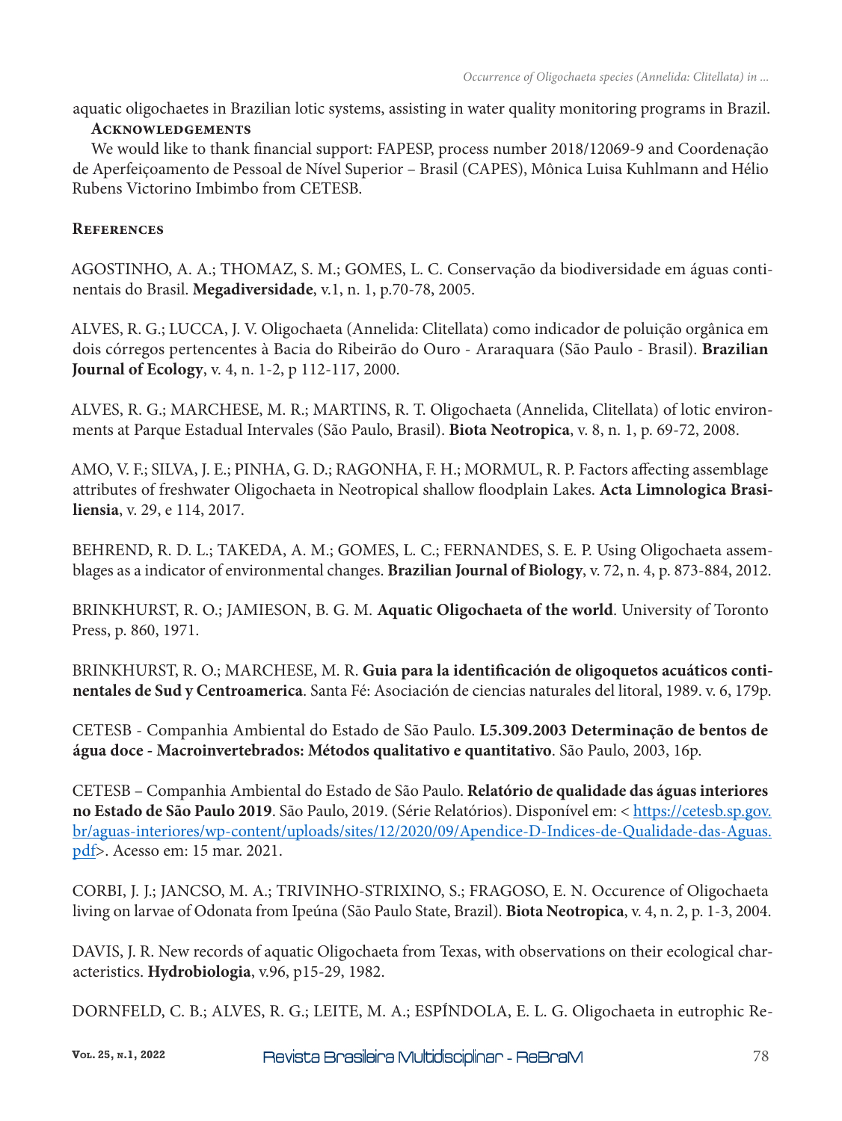aquatic oligochaetes in Brazilian lotic systems, assisting in water quality monitoring programs in Brazil.

## **Acknowledgements**

We would like to thank financial support: FAPESP, process number 2018/12069-9 and Coordenação de Aperfeiçoamento de Pessoal de Nível Superior – Brasil (CAPES), Mônica Luisa Kuhlmann and Hélio Rubens Victorino Imbimbo from CETESB.

# **References**

AGOSTINHO, A. A.; THOMAZ, S. M.; GOMES, L. C. Conservação da biodiversidade em águas continentais do Brasil. **Megadiversidade**, v.1, n. 1, p.70-78, 2005.

ALVES, R. G.; LUCCA, J. V. Oligochaeta (Annelida: Clitellata) como indicador de poluição orgânica em dois córregos pertencentes à Bacia do Ribeirão do Ouro - Araraquara (São Paulo - Brasil). **Brazilian Journal of Ecology**, v. 4, n. 1-2, p 112-117, 2000.

ALVES, R. G.; MARCHESE, M. R.; MARTINS, R. T. Oligochaeta (Annelida, Clitellata) of lotic environments at Parque Estadual Intervales (São Paulo, Brasil). **Biota Neotropica**, v. 8, n. 1, p. 69-72, 2008.

AMO, V. F.; SILVA, J. E.; PINHA, G. D.; RAGONHA, F. H.; MORMUL, R. P. Factors affecting assemblage attributes of freshwater Oligochaeta in Neotropical shallow floodplain Lakes. **Acta Limnologica Brasiliensia**, v. 29, e 114, 2017.

BEHREND, R. D. L.; TAKEDA, A. M.; GOMES, L. C.; FERNANDES, S. E. P. Using Oligochaeta assemblages as a indicator of environmental changes. **Brazilian Journal of Biology**, v. 72, n. 4, p. 873-884, 2012.

BRINKHURST, R. O.; JAMIESON, B. G. M. **Aquatic Oligochaeta of the world**. University of Toronto Press, p. 860, 1971.

BRINKHURST, R. O.; MARCHESE, M. R. **Guia para la identificación de oligoquetos acuáticos continentales de Sud y Centroamerica**. Santa Fé: Asociación de ciencias naturales del litoral, 1989. v. 6, 179p.

CETESB - Companhia Ambiental do Estado de São Paulo. **L5.309.2003 Determinação de bentos de água doce - Macroinvertebrados: Métodos qualitativo e quantitativo**. São Paulo, 2003, 16p.

CETESB – Companhia Ambiental do Estado de São Paulo. **Relatório de qualidade das águas interiores no Estado de São Paulo 2019**. São Paulo, 2019. (Série Relatórios). Disponível em: < https://cetesb.sp.gov. br/aguas-interiores/wp-content/uploads/sites/12/2020/09/Apendice-D-Indices-de-Qualidade-das-Aguas. pdf>. Acesso em: 15 mar. 2021.

CORBI, J. J.; JANCSO, M. A.; TRIVINHO-STRIXINO, S.; FRAGOSO, E. N. Occurence of Oligochaeta living on larvae of Odonata from Ipeúna (São Paulo State, Brazil). **Biota Neotropica**, v. 4, n. 2, p. 1-3, 2004.

DAVIS, J. R. New records of aquatic Oligochaeta from Texas, with observations on their ecological characteristics. **Hydrobiologia**, v.96, p15-29, 1982.

DORNFELD, C. B.; ALVES, R. G.; LEITE, M. A.; ESPÍNDOLA, E. L. G. Oligochaeta in eutrophic Re-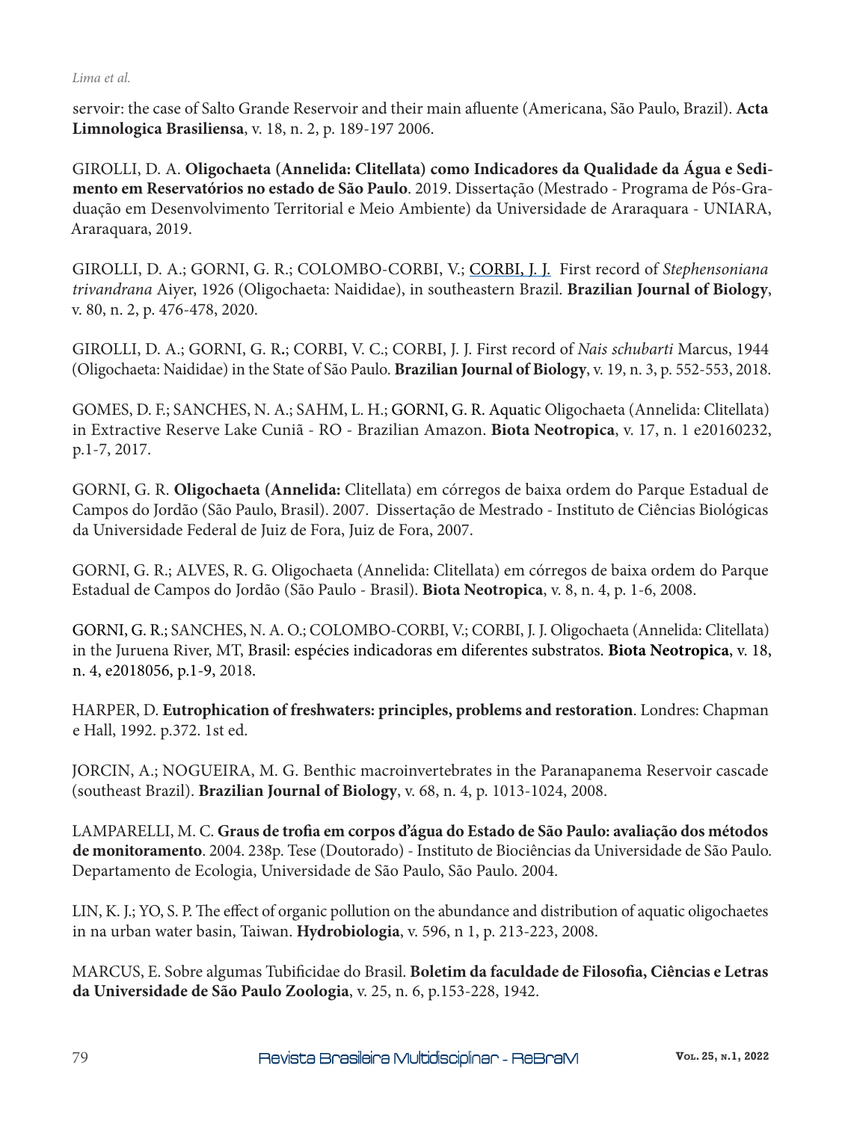### *Lima et al.*

servoir: the case of Salto Grande Reservoir and their main afluente (Americana, São Paulo, Brazil). **Acta Limnologica Brasiliensa**, v. 18, n. 2, p. 189-197 2006.

GIROLLI, D. A. **Oligochaeta (Annelida: Clitellata) como Indicadores da Qualidade da Água e Sedimento em Reservatórios no estado de São Paulo**. 2019. Dissertação (Mestrado - Programa de Pós-Graduação em Desenvolvimento Territorial e Meio Ambiente) da Universidade de Araraquara - UNIARA, Araraquara, 2019.

GIROLLI, D. A.; GORNI, G. R.; COLOMBO-CORBI, V.; CORBI, J. J. First record of *Stephensoniana trivandrana* Aiyer, 1926 (Oligochaeta: Naididae), in southeastern Brazil. **Brazilian Journal of Biology**, v. 80, n. 2, p. 476-478, 2020.

GIROLLI, D. A.; GORNI, G. R**.**; CORBI, V. C.; CORBI, J. J. First record of *Nais schubarti* Marcus, 1944 (Oligochaeta: Naididae) in the State of São Paulo. **Brazilian Journal of Biology**, v. 19, n. 3, p. 552-553, 2018.

GOMES, D. F.; SANCHES, N. A.; SAHM, L. H.; GORNI, G. R. Aquatic Oligochaeta (Annelida: Clitellata) in Extractive Reserve Lake Cuniã - RO - Brazilian Amazon. **Biota Neotropica**, v. 17, n. 1 e20160232, p.1-7, 2017.

GORNI, G. R. **Oligochaeta (Annelida:** Clitellata) em córregos de baixa ordem do Parque Estadual de Campos do Jordão (São Paulo, Brasil). 2007. Dissertação de Mestrado - Instituto de Ciências Biológicas da Universidade Federal de Juiz de Fora, Juiz de Fora, 2007.

GORNI, G. R.; ALVES, R. G. Oligochaeta (Annelida: Clitellata) em córregos de baixa ordem do Parque Estadual de Campos do Jordão (São Paulo - Brasil). **Biota Neotropica**, v. 8, n. 4, p. 1-6, 2008.

GORNI, G. R.; SANCHES, N. A. O.; COLOMBO-CORBI, V.; CORBI, J. J. Oligochaeta (Annelida: Clitellata) in the Juruena River, MT, Brasil: espécies indicadoras em diferentes substratos. **Biota Neotropica**, v. 18, n. 4, e2018056, p.1-9, 2018.

HARPER, D. **Eutrophication of freshwaters: principles, problems and restoration**. Londres: Chapman e Hall, 1992. p.372. 1st ed.

JORCIN, A.; NOGUEIRA, M. G. Benthic macroinvertebrates in the Paranapanema Reservoir cascade (southeast Brazil). **Brazilian Journal of Biology**, v. 68, n. 4, p. 1013-1024, 2008.

LAMPARELLI, M. C. **Graus de trofia em corpos d'água do Estado de São Paulo: avaliação dos métodos de monitoramento**. 2004. 238p. Tese (Doutorado) - Instituto de Biociências da Universidade de São Paulo. Departamento de Ecologia, Universidade de São Paulo, São Paulo. 2004.

LIN, K. J.; YO, S. P. The effect of organic pollution on the abundance and distribution of aquatic oligochaetes in na urban water basin, Taiwan. **Hydrobiologia**, v. 596, n 1, p. 213-223, 2008.

MARCUS, E. Sobre algumas Tubificidae do Brasil. **Boletim da faculdade de Filosofia, Ciências e Letras da Universidade de São Paulo Zoologia**, v. 25, n. 6, p.153-228, 1942.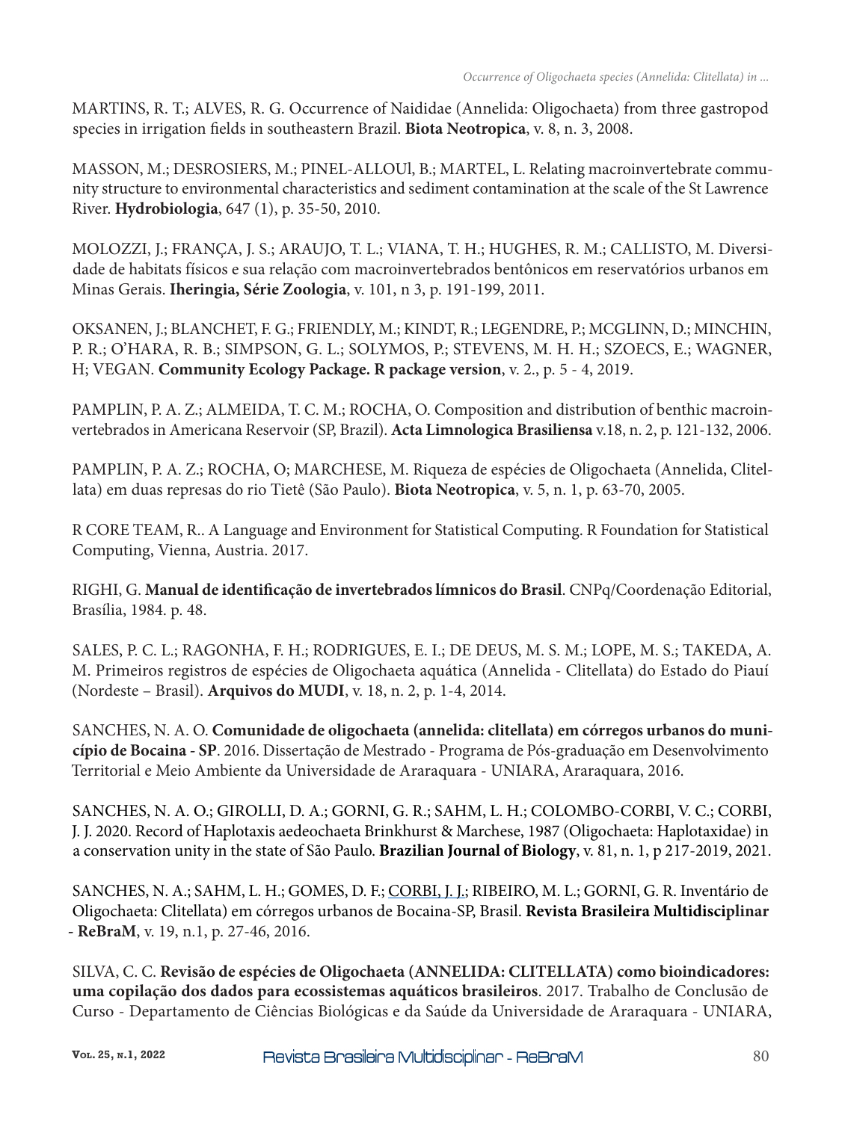MARTINS, R. T.; ALVES, R. G. Occurrence of Naididae (Annelida: Oligochaeta) from three gastropod species in irrigation fields in southeastern Brazil. **Biota Neotropica**, v. 8, n. 3, 2008.

MASSON, M.; DESROSIERS, M.; PINEL-ALLOUl, B.; MARTEL, L. Relating macroinvertebrate community structure to environmental characteristics and sediment contamination at the scale of the St Lawrence River. **Hydrobiologia**, 647 (1), p. 35-50, 2010.

MOLOZZI, J.; FRANÇA, J. S.; ARAUJO, T. L.; VIANA, T. H.; HUGHES, R. M.; CALLISTO, M. Diversidade de habitats físicos e sua relação com macroinvertebrados bentônicos em reservatórios urbanos em Minas Gerais. **Iheringia, Série Zoologia**, v. 101, n 3, p. 191-199, 2011.

OKSANEN, J.; BLANCHET, F. G.; FRIENDLY, M.; KINDT, R.; LEGENDRE, P.; MCGLINN, D.; MINCHIN, P. R.; O'HARA, R. B.; SIMPSON, G. L.; SOLYMOS, P.; STEVENS, M. H. H.; SZOECS, E.; WAGNER, H; VEGAN. **Community Ecology Package. R package version**, v. 2., p. 5 - 4, 2019.

PAMPLIN, P. A. Z.; ALMEIDA, T. C. M.; ROCHA, O. Composition and distribution of benthic macroinvertebrados in Americana Reservoir (SP, Brazil). **Acta Limnologica Brasiliensa** v.18, n. 2, p. 121-132, 2006.

PAMPLIN, P. A. Z.; ROCHA, O; MARCHESE, M. Riqueza de espécies de Oligochaeta (Annelida, Clitellata) em duas represas do rio Tietê (São Paulo). **Biota Neotropica**, v. 5, n. 1, p. 63-70, 2005.

R CORE TEAM, R.. A Language and Environment for Statistical Computing. R Foundation for Statistical Computing, Vienna, Austria. 2017.

RIGHI, G. **Manual de identificação de invertebrados límnicos do Brasil**. CNPq/Coordenação Editorial, Brasília, 1984. p. 48.

SALES, P. C. L.; RAGONHA, F. H.; RODRIGUES, E. I.; DE DEUS, M. S. M.; LOPE, M. S.; TAKEDA, A. M. Primeiros registros de espécies de Oligochaeta aquática (Annelida - Clitellata) do Estado do Piauí (Nordeste – Brasil). **Arquivos do MUDI**, v. 18, n. 2, p. 1-4, 2014.

SANCHES, N. A. O. **Comunidade de oligochaeta (annelida: clitellata) em córregos urbanos do município de Bocaina - SP**. 2016. Dissertação de Mestrado - Programa de Pós-graduação em Desenvolvimento Territorial e Meio Ambiente da Universidade de Araraquara - UNIARA, Araraquara, 2016.

SANCHES, N. A. O.; GIROLLI, D. A.; GORNI, G. R.; SAHM, L. H.; COLOMBO-CORBI, V. C.; CORBI, J. J. 2020. Record of Haplotaxis aedeochaeta Brinkhurst & Marchese, 1987 (Oligochaeta: Haplotaxidae) in a conservation unity in the state of São Paulo. **Brazilian Journal of Biology**, v. 81, n. 1, p 217-2019, 2021.

SANCHES, N. A.; SAHM, L. H.; GOMES, D. F.; CORBI, J. J.; RIBEIRO, M. L.; GORNI, G. R. Inventário de Oligochaeta: Clitellata) em córregos urbanos de Bocaina-SP, Brasil. **Revista Brasileira Multidisciplinar - ReBraM**, v. 19, n.1, p. 27-46, 2016.

SILVA, C. C. **Revisão de espécies de Oligochaeta (ANNELIDA: CLITELLATA) como bioindicadores: uma copilação dos dados para ecossistemas aquáticos brasileiros**. 2017. Trabalho de Conclusão de Curso - Departamento de Ciências Biológicas e da Saúde da Universidade de Araraquara - UNIARA,